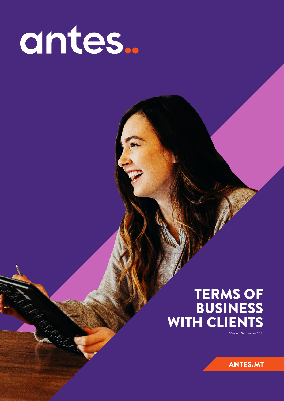# antes..

## TERMS OF BUSINESS WITH CLIENTS

Version: September 2021

**ANTES.MT**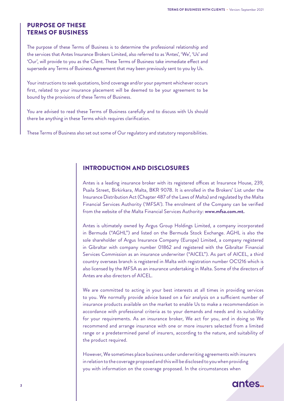#### PURPOSE OF THESE TERMS OF BUSINESS

The purpose of these Terms of Business is to determine the professional relationship and the services that Antes Insurance Brokers Limited, also referred to as 'Antes', 'We', 'Us' and 'Our', will provide to you as the Client. These Terms of Business take immediate effect and supersede any Terms of Business Agreement that may been previously sent to you by Us.

Your instructions to seek quotations, bind coverage and/or your payment whichever occurs first, related to your insurance placement will be deemed to be your agreement to be bound by the provisions of these Terms of Business.

You are advised to read these Terms of Business carefully and to discuss with Us should there be anything in these Terms which requires clarification.

These Terms of Business also set out some of Our regulatory and statutory responsibilities.

#### INTRODUCTION AND DISCLOSURES

Antes is a leading insurance broker with its registered offices at Insurance House, 239, Psaila Street, Birkirkara, Malta, BKR 9078. It is enrolled in the Brokers' List under the Insurance Distribution Act (Chapter 487 of the Laws of Malta) and regulated by the Malta Financial Services Authority ('MFSA'). The enrolment of the Company can be verified from the website of the Malta Financial Services Authority: **www.mfsa.com.mt.**

Antes is ultimately owned by Argus Group Holdings Limited, a company incorporated in Bermuda ("AGHL") and listed on the Bermuda Stock Exchange. AGHL is also the sole shareholder of Argus Insurance Company (Europe) Limited, a company registered in Gibraltar with company number 01862 and registered with the Gibraltar Financial Services Commission as an insurance underwriter ("AICEL"). As part of AICEL, a third country overseas branch is registered in Malta with registration number OC1216 which is also licensed by the MFSA as an insurance undertaking in Malta. Some of the directors of Antes are also directors of AICEL.

We are committed to acting in your best interests at all times in providing services to you. We normally provide advice based on a fair analysis on a sufficient number of insurance products available on the market to enable Us to make a recommendation in accordance with professional criteria as to your demands and needs and its suitability for your requirements. As an insurance broker, We act for you, and in doing so We recommend and arrange insurance with one or more insurers selected from a limited range or a predetermined panel of insurers, according to the nature, and suitability of the product required.

However, We sometimes place business under underwriting agreements with insurers in relation to the coverage proposed and this will be disclosed to you when providing you with information on the coverage proposed. In the circumstances when

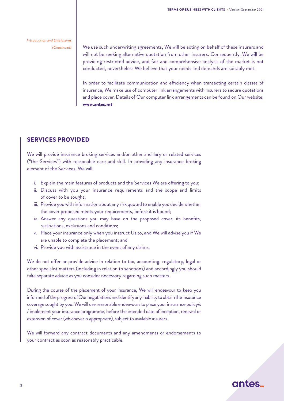Introduction and Disclosures (Continued)

We use such underwriting agreements, We will be acting on behalf of these insurers and will not be seeking alternative quotation from other insurers. Consequently, We will be providing restricted advice, and fair and comprehensive analysis of the market is not conducted, nevertheless We believe that your needs and demands are suitably met.

In order to facilitate communication and efficiency when transacting certain classes of insurance, We make use of computer link arrangements with insurers to secure quotations and place cover. Details of Our computer link arrangements can be found on Our website: www.antes.mt

#### SERVICES PROVIDED

We will provide insurance broking services and/or other ancillary or related services ("the Services") with reasonable care and skill. In providing any insurance broking element of the Services, We will:

- i. Explain the main features of products and the Services We are offering to you;
- ii. Discuss with you your insurance requirements and the scope and limits of cover to be sought;
- iii. Provide you with information about any risk quoted to enable you decide whether the cover proposed meets your requirements, before it is bound;
- iv. Answer any questions you may have on the proposed cover, its benefits, restrictions, exclusions and conditions;
- v. Place your insurance only when you instruct Us to, and We will advise you if We are unable to complete the placement; and
- vi. Provide you with assistance in the event of any claims.

We do not offer or provide advice in relation to tax, accounting, regulatory, legal or other specialist matters (including in relation to sanctions) and accordingly you should take separate advice as you consider necessary regarding such matters.

During the course of the placement of your insurance, We will endeavour to keep you informed of the progress of Our negotiations and identify any inability to obtain the insurance coverage sought by you. We will use reasonable endeavours to place your insurance policy/s / implement your insurance programme, before the intended date of inception, renewal or extension of cover (whichever is appropriate), subject to available insurers.

We will forward any contract documents and any amendments or endorsements to your contract as soon as reasonably practicable.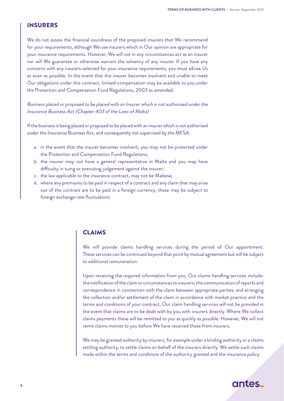#### INSURERS

We do not assess the financial soundness of the proposed insurers that We recommend for your requirements, although We use insurers which in Our opinion are appropriate for your insurance requirements. However, We will not in any circumstances act as an insurer nor will We guarantee or otherwise warrant the solvency of any insurer. If you have any concerns with any insurers selected for your insurance requirements, you must advise Us as soon as possible. In the event that the insurer becomes insolvent and unable to meet Our obligations under this contract, limited compensation may be available to you under the Protection and Compensation Fund Regulations, 2003 as amended.

Business placed or proposed to be placed with an Insurer which is not authorised under the Insurance Business Act (Chapter 403 of the Laws of Malta)

If the business is being placed or proposed to be placed with an insurer which is not authorised under the Insurance Business Act, and consequently not supervised by the MFSA:

- a. in the event that the insurer becomes insolvent, you may not be protected under the Protection and Compensation Fund Regulations;
- b. the insurer may not have a general representative in Malta and you may have difficulty in suing or executing judgement against the insurer;
- c. the law applicable to the insurance contract, may not be Maltese;
- d. where any premiums to be paid in respect of a contract and any claim that may arise out of the contract are to be paid in a foreign currency, these may be subject to foreign exchange rate fluctuations.

#### CLAIMS

We will provide claims handling services during the period of Our appointment. These services can be continued beyond that point by mutual agreement but will be subject to additional remuneration.

Upon receiving the required information from you, Our claims handling services include: the notification of the claim or circumstances to insurers; the communication of reports and correspondence in connection with the claim between appropriate parties; and arranging the collection and/or settlement of the claim in accordance with market practice and the terms and conditions of your contract. Our claim handling services will not be provided in the event that claims are to be dealt with by you with insurers directly. Where We collect claims payments these will be remitted to you as quickly as possible. However, We will not remit claims monies to you before We have received these from insurers.

We may be granted authority by insurers, for example under a binding authority or a claims settling authority, to settle claims on behalf of the insurers directly. We settle such claims made within the terms and conditions of the authority granted and the insurance policy.

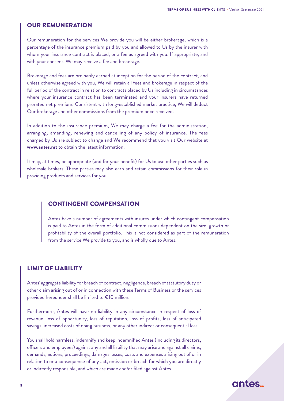#### OUR REMUNERATION

Our remuneration for the services We provide you will be either brokerage, which is a percentage of the insurance premium paid by you and allowed to Us by the insurer with whom your insurance contract is placed, or a fee as agreed with you. If appropriate, and with your consent, We may receive a fee and brokerage.

Brokerage and fees are ordinarily earned at inception for the period of the contract, and unless otherwise agreed with you, We will retain all fees and brokerage in respect of the full period of the contract in relation to contracts placed by Us including in circumstances where your insurance contract has been terminated and your insurers have returned prorated net premium. Consistent with long-established market practice, We will deduct Our brokerage and other commissions from the premium once received.

In addition to the insurance premium, We may charge a fee for the administration, arranging, amending, renewing and cancelling of any policy of insurance. The fees charged by Us are subject to change and We recommend that you visit Our website at www.antes.mt to obtain the latest information.

It may, at times, be appropriate (and for your benefit) for Us to use other parties such as wholesale brokers. These parties may also earn and retain commissions for their role in providing products and services for you.

#### CONTINGENT COMPENSATION

Antes have a number of agreements with insures under which contingent compensation is paid to Antes in the form of additional commissions dependent on the size, growth or profitability of the overall portfolio. This is not considered as part of the remuneration from the service We provide to you, and is wholly due to Antes.

#### LIMIT OF LIABILITY

Antes' aggregate liability for breach of contract, negligence, breach of statutory duty or other claim arising out of or in connection with these Terms of Business or the services provided hereunder shall be limited to €10 million.

Furthermore, Antes will have no liability in any circumstance in respect of loss of revenue, loss of opportunity, loss of reputation, loss of profits, loss of anticipated savings, increased costs of doing business, or any other indirect or consequential loss.

You shall hold harmless, indemnify and keep indemnified Antes (including its directors, officers and employees) against any and all liability that may arise and against all claims, demands, actions, proceedings, damages losses, costs and expenses arising out of or in relation to or a consequence of any act, omission or breach for which you are directly or indirectly responsible, and which are made and/or filed against Antes.

### antes.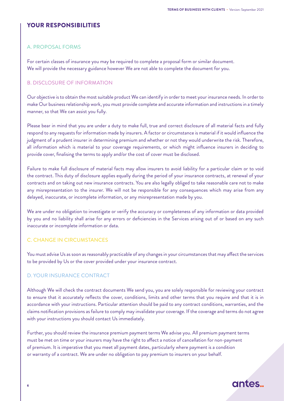#### YOUR RESPONSIBILITIES

#### A. PROPOSAL FORMS

For certain classes of insurance you may be required to complete a proposal form or similar document. We will provide the necessary guidance however We are not able to complete the document for you.

#### B. DISCLOSURE OF INFORMATION

Our objective is to obtain the most suitable product We can identify in order to meet your insurance needs. In order to make Our business relationship work, you must provide complete and accurate information and instructions in a timely manner, so that We can assist you fully.

Please bear in mind that you are under a duty to make full, true and correct disclosure of all material facts and fully respond to any requests for information made by insurers. A factor or circumstance is material if it would influence the judgment of a prudent insurer in determining premium and whether or not they would underwrite the risk. Therefore, all information which is material to your coverage requirements, or which might influence insurers in deciding to provide cover, finalising the terms to apply and/or the cost of cover must be disclosed.

Failure to make full disclosure of material facts may allow insurers to avoid liability for a particular claim or to void the contract. This duty of disclosure applies equally during the period of your insurance contracts, at renewal of your contracts and on taking out new insurance contracts. You are also legally obliged to take reasonable care not to make any misrepresentation to the insurer. We will not be responsible for any consequences which may arise from any delayed, inaccurate, or incomplete information, or any misrepresentation made by you.

We are under no obligation to investigate or verify the accuracy or completeness of any information or data provided by you and no liability shall arise for any errors or deficiencies in the Services arising out of or based on any such inaccurate or incomplete information or data.

#### C. CHANGE IN CIRCUMSTANCES

You must advise Us as soon as reasonably practicable of any changes in your circumstances that may affect the services to be provided by Us or the cover provided under your insurance contract.

#### D. YOUR INSURANCE CONTRACT

Although We will check the contract documents We send you, you are solely responsible for reviewing your contract to ensure that it accurately reflects the cover, conditions, limits and other terms that you require and that it is in accordance with your instructions. Particular attention should be paid to any contract conditions, warranties, and the claims notification provisions as failure to comply may invalidate your coverage. If the coverage and terms do not agree with your instructions you should contact Us immediately.

Further, you should review the insurance premium payment terms We advise you. All premium payment terms must be met on time or your insurers may have the right to affect a notice of cancellation for non-payment of premium. It is imperative that you meet all payment dates, particularly where payment is a condition or warranty of a contract. We are under no obligation to pay premium to insurers on your behalf.

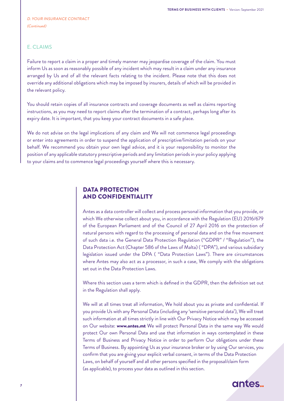#### E. CLAIMS

Failure to report a claim in a proper and timely manner may jeopardise coverage of the claim. You must inform Us as soon as reasonably possible of any incident which may result in a claim under any insurance arranged by Us and of all the relevant facts relating to the incident. Please note that this does not override any additional obligations which may be imposed by insurers, details of which will be provided in the relevant policy.

You should retain copies of all insurance contracts and coverage documents as well as claims reporting instructions, as you may need to report claims after the termination of a contract, perhaps long after its expiry date. It is important, that you keep your contract documents in a safe place.

We do not advise on the legal implications of any claim and We will not commence legal proceedings or enter into agreements in order to suspend the application of prescriptive/limitation periods on your behalf. We recommend you obtain your own legal advice, and it is your responsibility to monitor the position of any applicable statutory prescriptive periods and any limitation periods in your policy applying to your claims and to commence legal proceedings yourself where this is necessary.

#### DATA PROTECTION AND CONFIDENTIALITY

Antes as a data controller will collect and process personal information that you provide, or which We otherwise collect about you, in accordance with the Regulation (EU) 2016/679 of the European Parliament and of the Council of 27 April 2016 on the protection of natural persons with regard to the processing of personal data and on the free movement of such data i.e. the General Data Protection Regulation ("GDPR" / "Regulation"), the Data Protection Act (Chapter 586 of the Laws of Malta) ( "DPA"), and various subsidiary legislation issued under the DPA ( "Data Protection Laws"). There are circumstances where Antes may also act as a processor, in such a case, We comply with the obligations set out in the Data Protection Laws.

Where this section uses a term which is defined in the GDPR, then the definition set out in the Regulation shall apply.

We will at all times treat all information, We hold about you as private and confidential. If you provide Us with any Personal Data (including any 'sensitive personal data'), We will treat such information at all times strictly in line with Our Privacy Notice which may be accessed on Our website: **www.antes.mt** We will protect Personal Data in the same way We would protect Our own Personal Data and use that information in ways contemplated in these Terms of Business and Privacy Notice in order to perform Our obligations under these Terms of Business. By appointing Us as your insurance broker or by using Our services, you confirm that you are giving your explicit verbal consent, in terms of the Data Protection Laws, on behalf of yourself and all other persons specified in the proposal/claim form (as applicable), to process your data as outlined in this section.

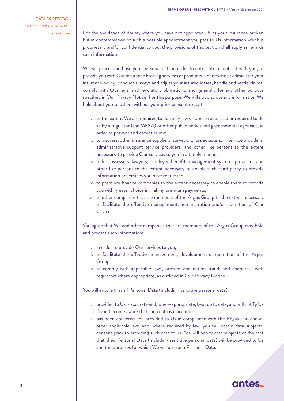DATA PROTECTION AND CONFIDENTIALITY (Continued)

For the avoidance of doubt, where you have not appointed Us as your insurance broker, but in contemplation of such a possible appointment you pass to Us information which is proprietary and/or confidential to you, the provisions of this section shall apply as regards such information.

We will process and use your personal data in order to enter into a contract with you, to provide you with Our insurance broking services or products, underwrite or administer your insurance policy, conduct surveys and adjust your insured losses, handle and settle claims, comply with Our legal and regulatory obligations, and generally for any other purpose specified in Our Privacy Notice. For this purpose, We will not disclose any information We hold about you to others without your prior consent except:

- i. to the extent We are required to do so by law or where requested or required to do so by a regulator (the MFSA) or other public bodies and governmental agencies, in order to prevent and detect crime;
- ii. to insurers, other insurance suppliers, surveyors, loss adjusters, IT service providers, administrative support service providers, and other like persons to the extent necessary to provide Our services to you in a timely manner;
- iii. to loss assessors, lawyers, employee benefits management systems providers, and other like persons to the extent necessary to enable such third party to provide information or services you have requested;
- iv. to premium finance companies to the extent necessary to enable them to provide you with greater choice in making premium payments;
- v. to other companies that are members of the Argus Group to the extent necessary to facilitate the effective management, administration and/or operation of Our services.

You agree that We and other companies that are members of the Argus Group may hold and process such information:

- i. in order to provide Our services to you;
- ii. to facilitate the effective management, development or operation of the Argus Group;
- iii. to comply with applicable laws, prevent and detect fraud, and cooperate with regulators where appropriate, as outlined in Our Privacy Notice.

You will ensure that all Personal Data (including sensitive personal data):

- i. provided to Us is accurate and, where appropriate, kept up to data, and will notify Us if you become aware that such data is inaccurate;
- ii. has been collected and provided to Us in compliance with the Regulation and all other applicable laws and, where required by law, you will obtain data subjects' consent prior to providing such data to us. You will notify data subjects of the fact that their Personal Data (including sensitive personal data) will be provided to Us and the purposes for which We will use such Personal Data.

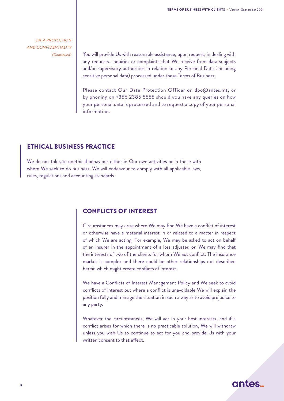DATA PROTECTION AND CONFIDENTIALITY (Continued)

You will provide Us with reasonable assistance, upon request, in dealing with any requests, inquiries or complaints that We receive from data subjects and/or supervisory authorities in relation to any Personal Data (including sensitive personal data) processed under these Terms of Business.

Please contact Our Data Protection Officer on dpo@antes.mt, or by phoning on +356 2385 5555 should you have any queries on how your personal data is processed and to request a copy of your personal information.

#### ETHICAL BUSINESS PRACTICE

We do not tolerate unethical behaviour either in Our own activities or in those with whom We seek to do business. We will endeavour to comply with all applicable laws, rules, regulations and accounting standards.

#### CONFLICTS OF INTEREST

Circumstances may arise where We may find We have a conflict of interest or otherwise have a material interest in or related to a matter in respect of which We are acting. For example, We may be asked to act on behalf of an insurer in the appointment of a loss adjuster, or, We may find that the interests of two of the clients for whom We act conflict. The insurance market is complex and there could be other relationships not described herein which might create conflicts of interest.

We have a Conflicts of Interest Management Policy and We seek to avoid conflicts of interest but where a conflict is unavoidable We will explain the position fully and manage the situation in such a way as to avoid prejudice to any party.

Whatever the circumstances, We will act in your best interests, and if a conflict arises for which there is no practicable solution, We will withdraw unless you wish Us to continue to act for you and provide Us with your written consent to that effect.

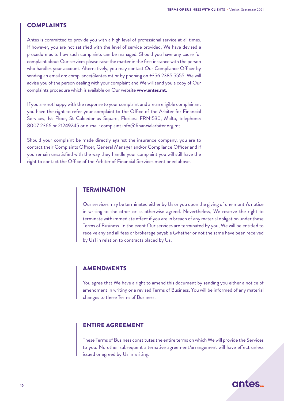#### COMPLAINTS

Antes is committed to provide you with a high level of professional service at all times. If however, you are not satisfied with the level of service provided, We have devised a procedure as to how such complaints can be managed. Should you have any cause for complaint about Our services please raise the matter in the first instance with the person who handles your account. Alternatively, you may contact Our Compliance Officer by sending an email on: compliance@antes.mt or by phoning on +356 2385 5555. We will advise you of the person dealing with your complaint and We will send you a copy of Our complaints procedure which is available on Our website www.antes.mt.

If you are not happy with the response to your complaint and are an eligible complainant you have the right to refer your complaint to the Office of the Arbiter for Financial Services, 1st Floor, St Calcedonius Square, Floriana FRN1530, Malta, telephone: 8007 2366 or 21249245 or e-mail: complaint.info@financialarbiter.org.mt.

Should your complaint be made directly against the insurance company, you are to contact their Complaints Officer, General Manager and/or Compliance Officer and if you remain unsatisfied with the way they handle your complaint you will still have the right to contact the Office of the Arbiter of Financial Services mentioned above.

#### **TERMINATION**

Our services may be terminated either by Us or you upon the giving of one month's notice in writing to the other or as otherwise agreed. Nevertheless, We reserve the right to terminate with immediate effect if you are in breach of any material obligation under these Terms of Business. In the event Our services are terminated by you, We will be entitled to receive any and all fees or brokerage payable (whether or not the same have been received by Us) in relation to contracts placed by Us.

#### AMENDMENTS

You agree that We have a right to amend this document by sending you either a notice of amendment in writing or a revised Terms of Business. You will be informed of any material changes to these Terms of Business.

#### ENTIRE AGREEMENT

These Terms of Business constitutes the entire terms on which We will provide the Services to you. No other subsequent alternative agreement/arrangement will have effect unless issued or agreed by Us in writing.